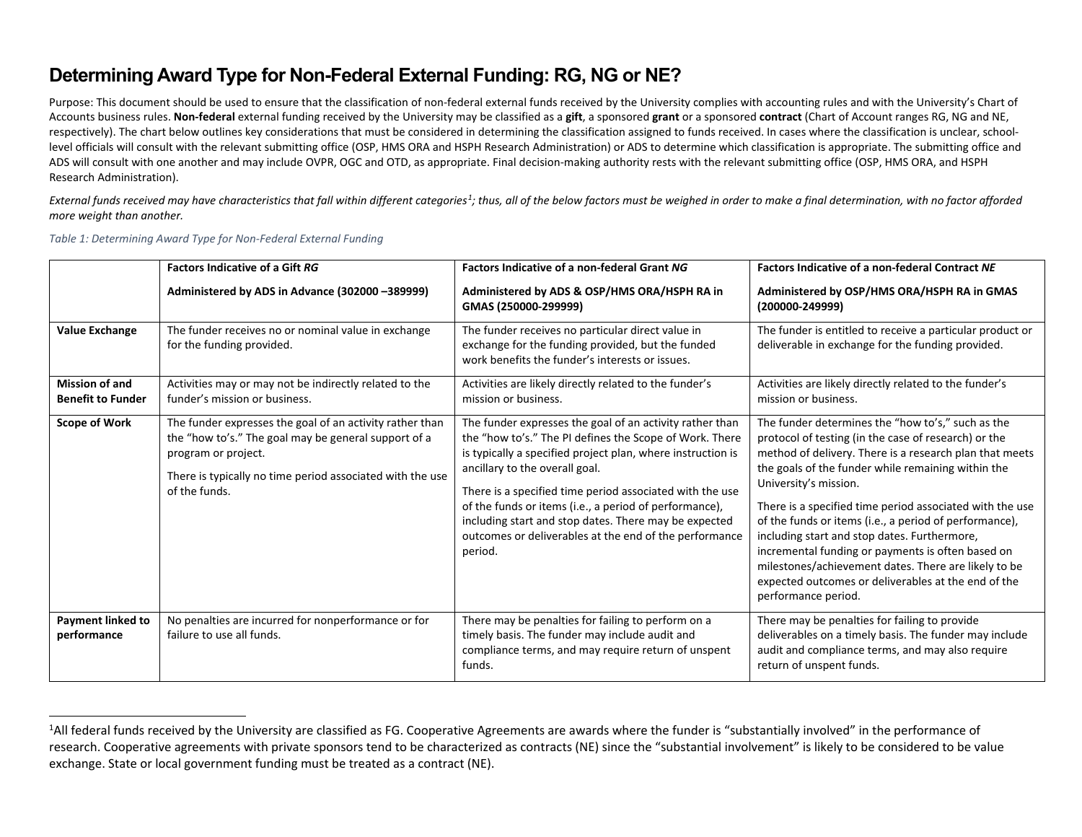## <span id="page-0-0"></span>**Determining Award Type for Non-Federal External Funding: RG, NG or NE?**

Purpose: This document should be used to ensure that the classification of non-federal external funds received by the University complies with accounting rules and with the University's Chart of Accounts business rules. **Non-federal** external funding received by the University may be classified as a **gift**, a sponsored **grant** or a sponsored **contract** (Chart of Account ranges RG, NG and NE, respectively). The chart below outlines key considerations that must be considered in determining the classification assigned to funds received. In cases where the classification is unclear, schoollevel officials will consult with the relevant submitting office (OSP, HMS ORA and HSPH Research Administration) or ADS to determine which classification is appropriate. The submitting office and ADS will consult with one another and may include OVPR, OGC and OTD, as appropriate. Final decision-making authority rests with the relevant submitting office (OSP, HMS ORA, and HSPH Research Administration).

External funds received may have characteristics that fall within different categories<sup>1</sup>; thus, all of the below factors must be weighed in order to make a final determination, with no factor afforded *more weight than another.*

## *Table 1: Determining Award Type for Non-Federal External Funding*

| <b>Value Exchange</b>                             | <b>Factors Indicative of a Gift RG</b><br>Administered by ADS in Advance (302000 -389999)<br>The funder receives no or nominal value in exchange<br>for the funding provided.                                         | <b>Factors Indicative of a non-federal Grant NG</b><br>Administered by ADS & OSP/HMS ORA/HSPH RA in<br>GMAS (250000-299999)<br>The funder receives no particular direct value in<br>exchange for the funding provided, but the funded<br>work benefits the funder's interests or issues.                                                                                                                                                                                 | <b>Factors Indicative of a non-federal Contract NE</b><br>Administered by OSP/HMS ORA/HSPH RA in GMAS<br>(200000-249999)<br>The funder is entitled to receive a particular product or<br>deliverable in exchange for the funding provided.                                                                                                                                                                                                                                                                                                                                                                           |
|---------------------------------------------------|-----------------------------------------------------------------------------------------------------------------------------------------------------------------------------------------------------------------------|--------------------------------------------------------------------------------------------------------------------------------------------------------------------------------------------------------------------------------------------------------------------------------------------------------------------------------------------------------------------------------------------------------------------------------------------------------------------------|----------------------------------------------------------------------------------------------------------------------------------------------------------------------------------------------------------------------------------------------------------------------------------------------------------------------------------------------------------------------------------------------------------------------------------------------------------------------------------------------------------------------------------------------------------------------------------------------------------------------|
| <b>Mission of and</b><br><b>Benefit to Funder</b> | Activities may or may not be indirectly related to the<br>funder's mission or business.                                                                                                                               | Activities are likely directly related to the funder's<br>mission or business.                                                                                                                                                                                                                                                                                                                                                                                           | Activities are likely directly related to the funder's<br>mission or business.                                                                                                                                                                                                                                                                                                                                                                                                                                                                                                                                       |
| <b>Scope of Work</b>                              | The funder expresses the goal of an activity rather than<br>the "how to's." The goal may be general support of a<br>program or project.<br>There is typically no time period associated with the use<br>of the funds. | The funder expresses the goal of an activity rather than<br>the "how to's." The PI defines the Scope of Work. There<br>is typically a specified project plan, where instruction is<br>ancillary to the overall goal.<br>There is a specified time period associated with the use<br>of the funds or items (i.e., a period of performance),<br>including start and stop dates. There may be expected<br>outcomes or deliverables at the end of the performance<br>period. | The funder determines the "how to's," such as the<br>protocol of testing (in the case of research) or the<br>method of delivery. There is a research plan that meets<br>the goals of the funder while remaining within the<br>University's mission.<br>There is a specified time period associated with the use<br>of the funds or items (i.e., a period of performance),<br>including start and stop dates. Furthermore,<br>incremental funding or payments is often based on<br>milestones/achievement dates. There are likely to be<br>expected outcomes or deliverables at the end of the<br>performance period. |
| <b>Payment linked to</b><br>performance           | No penalties are incurred for nonperformance or for<br>failure to use all funds.                                                                                                                                      | There may be penalties for failing to perform on a<br>timely basis. The funder may include audit and<br>compliance terms, and may require return of unspent<br>funds.                                                                                                                                                                                                                                                                                                    | There may be penalties for failing to provide<br>deliverables on a timely basis. The funder may include<br>audit and compliance terms, and may also require<br>return of unspent funds.                                                                                                                                                                                                                                                                                                                                                                                                                              |

<sup>&</sup>lt;sup>1</sup>All federal funds received by the University are classified as FG. Cooperative Agreements are awards where the funder is "substantially involved" in the performance of research. Cooperative agreements with private sponsors tend to be characterized as contracts (NE) since the "substantial involvement" is likely to be considered to be value exchange. State or local government funding must be treated as a contract (NE).